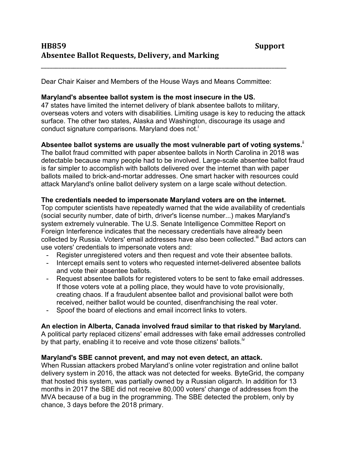Dear Chair Kaiser and Members of the House Ways and Means Committee:

\_\_\_\_\_\_\_\_\_\_\_\_\_\_\_\_\_\_\_\_\_\_\_\_\_\_\_\_\_\_\_\_\_\_\_\_\_\_\_\_\_\_\_\_\_\_\_\_\_\_\_\_\_\_\_\_\_\_\_\_\_\_\_\_\_\_\_\_\_\_\_\_\_\_\_\_\_\_\_\_\_\_\_

### **Maryland's absentee ballot system is the most insecure in the US.**

47 states have limited the internet delivery of blank absentee ballots to military, overseas voters and voters with disabilities. Limiting usage is key to reducing the attack surface. The other two states, Alaska and Washington, discourage its usage and conduct signature comparisons. Maryland does not. i

# Absentee ballot systems are usually the most vulnerable part of voting systems.<sup>ii</sup>

The ballot fraud committed with paper absentee ballots in North Carolina in 2018 was detectable because many people had to be involved. Large-scale absentee ballot fraud is far simpler to accomplish with ballots delivered over the internet than with paper ballots mailed to brick-and-mortar addresses. One smart hacker with resources could attack Maryland's online ballot delivery system on a large scale without detection.

### **The credentials needed to impersonate Maryland voters are on the internet.**

Top computer scientists have repeatedly warned that the wide availability of credentials (social security number, date of birth, driver's license number...) makes Maryland's system extremely vulnerable. The U.S. Senate Intelligence Committee Report on Foreign Interference indicates that the necessary credentials have already been collected by Russia. Voters' email addresses have also been collected.<sup>iii</sup> Bad actors can use voters' credentials to impersonate voters and:

- Register unregistered voters and then request and vote their absentee ballots.
- Intercept emails sent to voters who requested internet-delivered absentee ballots and vote their absentee ballots.
- Request absentee ballots for registered voters to be sent to fake email addresses. If those voters vote at a polling place, they would have to vote provisionally, creating chaos. If a fraudulent absentee ballot and provisional ballot were both received, neither ballot would be counted, disenfranchising the real voter.
- Spoof the board of elections and email incorrect links to voters.

# **An election in Alberta, Canada involved fraud similar to that risked by Maryland.**

A political party replaced citizens' email addresses with fake email addresses controlled by that party, enabling it to receive and vote those citizens' ballots.<sup>iv</sup>

# **Maryland's SBE cannot prevent, and may not even detect, an attack.**

When Russian attackers probed Maryland's online voter registration and online ballot delivery system in 2016, the attack was not detected for weeks. ByteGrid, the company that hosted this system, was partially owned by a Russian oligarch. In addition for 13 months in 2017 the SBE did not receive 80,000 voters' change of addresses from the MVA because of a bug in the programming. The SBE detected the problem, only by chance, 3 days before the 2018 primary.